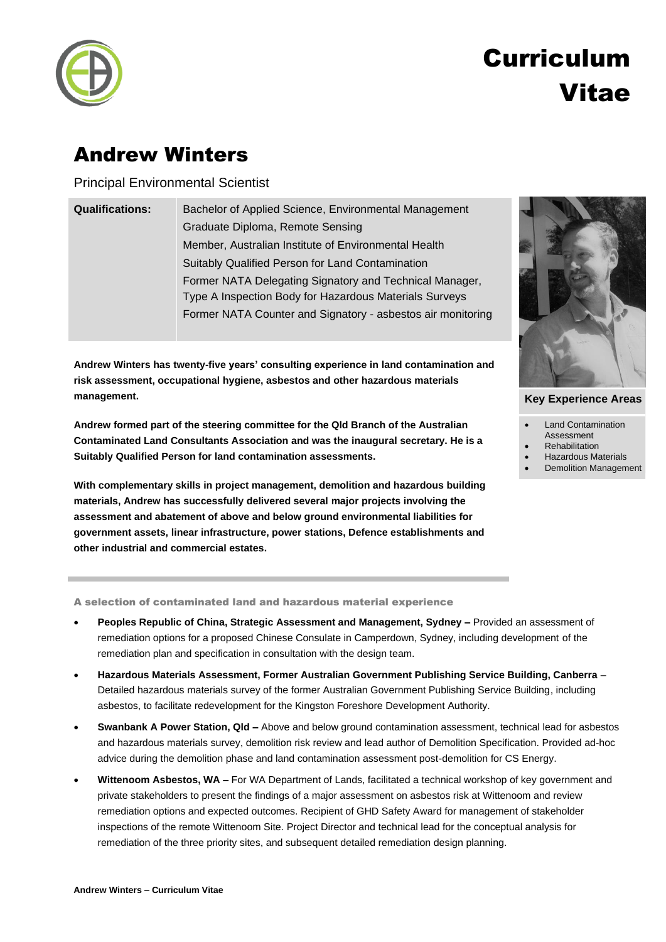

# Curriculum Vitae

### Andrew Winters

Principal Environmental Scientist

| <b>Qualifications:</b> | Bachelor of Applied Science, Environmental Management       |
|------------------------|-------------------------------------------------------------|
|                        | Graduate Diploma, Remote Sensing                            |
|                        | Member, Australian Institute of Environmental Health        |
|                        | Suitably Qualified Person for Land Contamination            |
|                        | Former NATA Delegating Signatory and Technical Manager,     |
|                        | Type A Inspection Body for Hazardous Materials Surveys      |
|                        | Former NATA Counter and Signatory - asbestos air monitoring |
|                        |                                                             |

**Andrew Winters has twenty-five years' consulting experience in land contamination and risk assessment, occupational hygiene, asbestos and other hazardous materials management.**

**Andrew formed part of the steering committee for the Qld Branch of the Australian Contaminated Land Consultants Association and was the inaugural secretary. He is a Suitably Qualified Person for land contamination assessments.**

**With complementary skills in project management, demolition and hazardous building materials, Andrew has successfully delivered several major projects involving the assessment and abatement of above and below ground environmental liabilities for government assets, linear infrastructure, power stations, Defence establishments and other industrial and commercial estates.**

A selection of contaminated land and hazardous material experience

- **Peoples Republic of China, Strategic Assessment and Management, Sydney –** Provided an assessment of remediation options for a proposed Chinese Consulate in Camperdown, Sydney, including development of the remediation plan and specification in consultation with the design team.
- **Hazardous Materials Assessment, Former Australian Government Publishing Service Building, Canberra** Detailed hazardous materials survey of the former Australian Government Publishing Service Building, including asbestos, to facilitate redevelopment for the Kingston Foreshore Development Authority.
- **Swanbank A Power Station, Qld –** Above and below ground contamination assessment, technical lead for asbestos and hazardous materials survey, demolition risk review and lead author of Demolition Specification. Provided ad-hoc advice during the demolition phase and land contamination assessment post-demolition for CS Energy.
- **Wittenoom Asbestos, WA –** For WA Department of Lands, facilitated a technical workshop of key government and private stakeholders to present the findings of a major assessment on asbestos risk at Wittenoom and review remediation options and expected outcomes. Recipient of GHD Safety Award for management of stakeholder inspections of the remote Wittenoom Site. Project Director and technical lead for the conceptual analysis for remediation of the three priority sites, and subsequent detailed remediation design planning.



#### **Key Experience Areas**

- Land Contamination
- Assessment
- **Rehabilitation**
- Hazardous Materials
- Demolition Management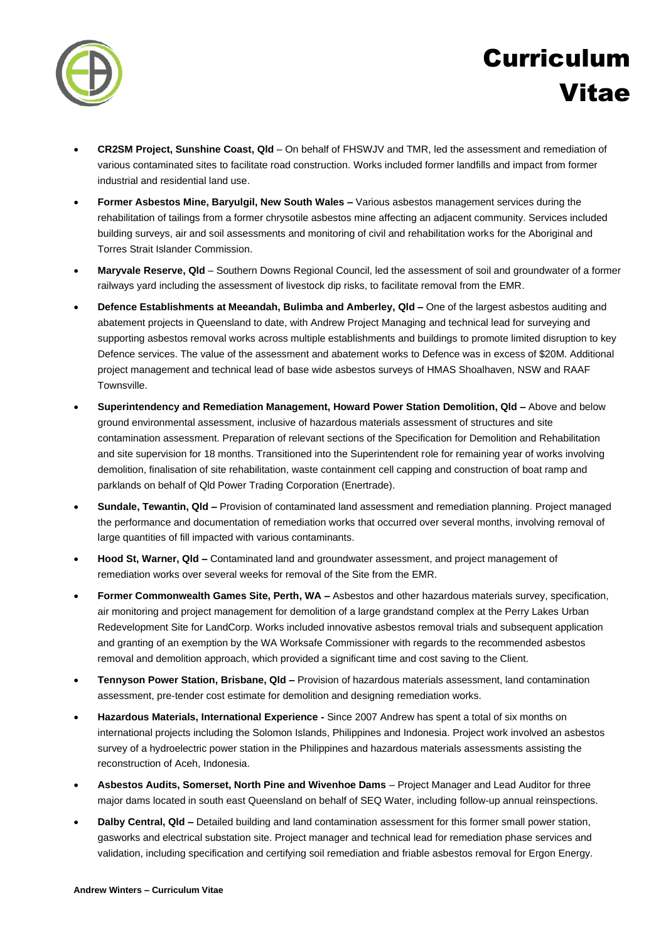

## Curriculum Vitae

- **CR2SM Project, Sunshine Coast, Qld** On behalf of FHSWJV and TMR, led the assessment and remediation of various contaminated sites to facilitate road construction. Works included former landfills and impact from former industrial and residential land use.
- **Former Asbestos Mine, Baryulgil, New South Wales –** Various asbestos management services during the rehabilitation of tailings from a former chrysotile asbestos mine affecting an adjacent community. Services included building surveys, air and soil assessments and monitoring of civil and rehabilitation works for the Aboriginal and Torres Strait Islander Commission.
- **Maryvale Reserve, Qld**  Southern Downs Regional Council, led the assessment of soil and groundwater of a former railways yard including the assessment of livestock dip risks, to facilitate removal from the EMR.
- **Defence Establishments at Meeandah, Bulimba and Amberley, Qld –** One of the largest asbestos auditing and abatement projects in Queensland to date, with Andrew Project Managing and technical lead for surveying and supporting asbestos removal works across multiple establishments and buildings to promote limited disruption to key Defence services. The value of the assessment and abatement works to Defence was in excess of \$20M. Additional project management and technical lead of base wide asbestos surveys of HMAS Shoalhaven, NSW and RAAF Townsville.
- **Superintendency and Remediation Management, Howard Power Station Demolition, Qld –** Above and below ground environmental assessment, inclusive of hazardous materials assessment of structures and site contamination assessment. Preparation of relevant sections of the Specification for Demolition and Rehabilitation and site supervision for 18 months. Transitioned into the Superintendent role for remaining year of works involving demolition, finalisation of site rehabilitation, waste containment cell capping and construction of boat ramp and parklands on behalf of Qld Power Trading Corporation (Enertrade).
- **Sundale, Tewantin, Qld –** Provision of contaminated land assessment and remediation planning. Project managed the performance and documentation of remediation works that occurred over several months, involving removal of large quantities of fill impacted with various contaminants.
- **Hood St, Warner, Qld –** Contaminated land and groundwater assessment, and project management of remediation works over several weeks for removal of the Site from the EMR.
- **Former Commonwealth Games Site, Perth, WA –** Asbestos and other hazardous materials survey, specification, air monitoring and project management for demolition of a large grandstand complex at the Perry Lakes Urban Redevelopment Site for LandCorp. Works included innovative asbestos removal trials and subsequent application and granting of an exemption by the WA Worksafe Commissioner with regards to the recommended asbestos removal and demolition approach, which provided a significant time and cost saving to the Client.
- **Tennyson Power Station, Brisbane, Qld –** Provision of hazardous materials assessment, land contamination assessment, pre-tender cost estimate for demolition and designing remediation works.
- **Hazardous Materials, International Experience -** Since 2007 Andrew has spent a total of six months on international projects including the Solomon Islands, Philippines and Indonesia. Project work involved an asbestos survey of a hydroelectric power station in the Philippines and hazardous materials assessments assisting the reconstruction of Aceh, Indonesia.
- **Asbestos Audits, Somerset, North Pine and Wivenhoe Dams** Project Manager and Lead Auditor for three major dams located in south east Queensland on behalf of SEQ Water, including follow-up annual reinspections.
- **Dalby Central, Qld –** Detailed building and land contamination assessment for this former small power station, gasworks and electrical substation site. Project manager and technical lead for remediation phase services and validation, including specification and certifying soil remediation and friable asbestos removal for Ergon Energy.